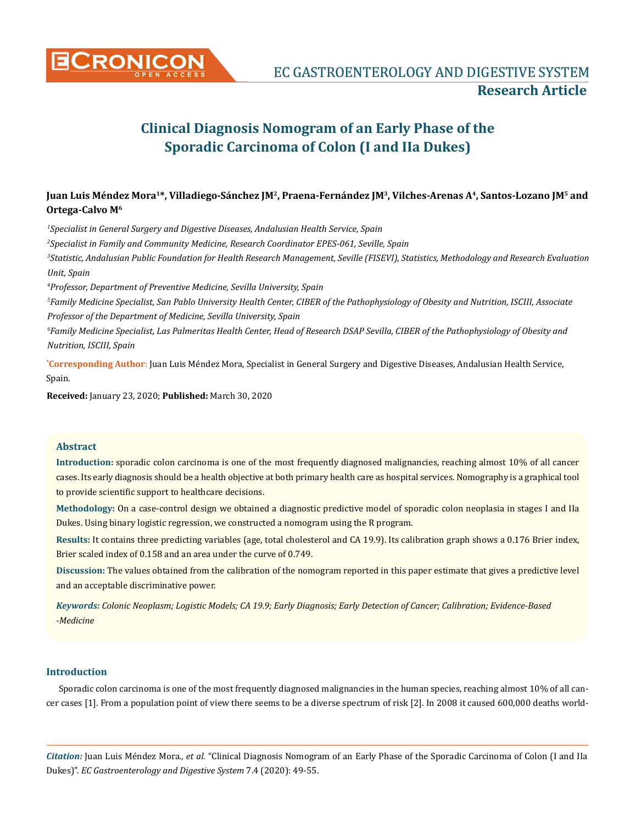

# **Clinical Diagnosis Nomogram of an Early Phase of the Sporadic Carcinoma of Colon (I and IIa Dukes)**

# **Juan Luis Méndez Mora1\*, Villadiego-Sánchez JM2, Praena-Fernández JM3, Vilches-Arenas A4, Santos-Lozano JM5 and Ortega-Calvo M6**

*1 Specialist in General Surgery and Digestive Diseases, Andalusian Health Service, Spain*

*2 Specialist in Family and Community Medicine, Research Coordinator EPES-061, Seville, Spain*

*3 Statistic, Andalusian Public Foundation for Health Research Management, Seville (FISEVI), Statistics, Methodology and Research Evaluation Unit, Spain*

*4 Professor, Department of Preventive Medicine, Sevilla University, Spain*

*5 Family Medicine Specialist, San Pablo University Health Center, CIBER of the Pathophysiology of Obesity and Nutrition, ISCIII, Associate Professor of the Department of Medicine, Sevilla University, Spain*

*6 Family Medicine Specialist, Las Palmeritas Health Center, Head of Research DSAP Sevilla, CIBER of the Pathophysiology of Obesity and Nutrition, ISCIII, Spain*

**\* Corresponding Author**: Juan Luis Méndez Mora, Specialist in General Surgery and Digestive Diseases, Andalusian Health Service, Spain.

**Received:** January 23, 2020; **Published:** March 30, 2020

#### **Abstract**

**Introduction:** sporadic colon carcinoma is one of the most frequently diagnosed malignancies, reaching almost 10% of all cancer cases. Its early diagnosis should be a health objective at both primary health care as hospital services. Nomography is a graphical tool to provide scientific support to healthcare decisions.

**Methodology:** On a case-control design we obtained a diagnostic predictive model of sporadic colon neoplasia in stages I and IIa Dukes. Using binary logistic regression, we constructed a nomogram using the R program.

**Results:** It contains three predicting variables (age, total cholesterol and CA 19.9). Its calibration graph shows a 0.176 Brier index, Brier scaled index of 0.158 and an area under the curve of 0.749.

**Discussion:** The values obtained from the calibration of the nomogram reported in this paper estimate that gives a predictive level and an acceptable discriminative power.

*Keywords: Colonic Neoplasm; Logistic Models; CA 19.9; Early Diagnosis; Early Detection of Cancer; Calibration; Evidence-Based -Medicine*

# **Introduction**

Sporadic colon carcinoma is one of the most frequently diagnosed malignancies in the human species, reaching almost 10% of all cancer cases [1]. From a population point of view there seems to be a diverse spectrum of risk [2]. In 2008 it caused 600,000 deaths world-

*Citation:* Juan Luis Méndez Mora*., et al.* "Clinical Diagnosis Nomogram of an Early Phase of the Sporadic Carcinoma of Colon (I and IIa Dukes)". *EC Gastroenterology and Digestive System* 7.4 (2020): 49-55.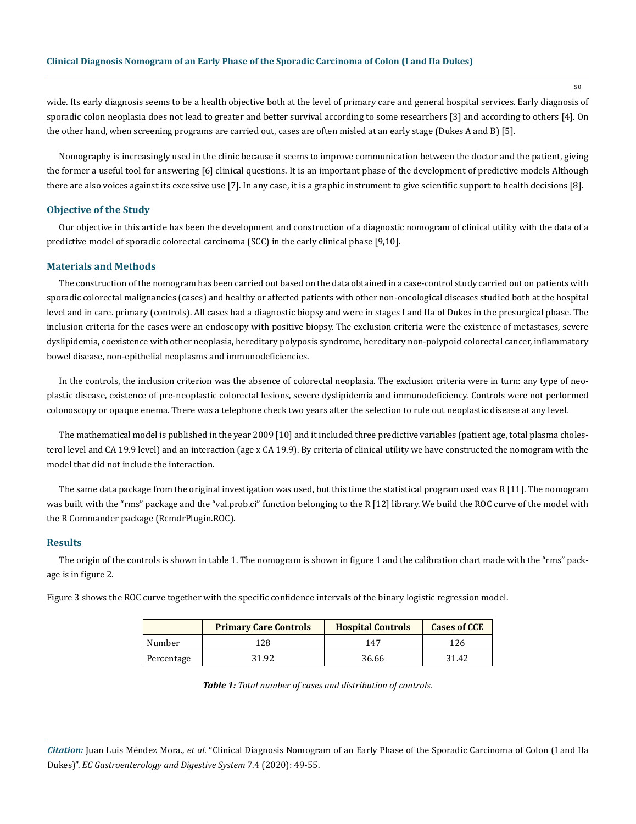wide. Its early diagnosis seems to be a health objective both at the level of primary care and general hospital services. Early diagnosis of sporadic colon neoplasia does not lead to greater and better survival according to some researchers [3] and according to others [4]. On the other hand, when screening programs are carried out, cases are often misled at an early stage (Dukes A and B) [5].

Nomography is increasingly used in the clinic because it seems to improve communication between the doctor and the patient, giving the former a useful tool for answering [6] clinical questions. It is an important phase of the development of predictive models Although there are also voices against its excessive use [7]. In any case, it is a graphic instrument to give scientific support to health decisions [8].

### **Objective of the Study**

Our objective in this article has been the development and construction of a diagnostic nomogram of clinical utility with the data of a predictive model of sporadic colorectal carcinoma (SCC) in the early clinical phase [9,10].

#### **Materials and Methods**

The construction of the nomogram has been carried out based on the data obtained in a case-control study carried out on patients with sporadic colorectal malignancies (cases) and healthy or affected patients with other non-oncological diseases studied both at the hospital level and in care. primary (controls). All cases had a diagnostic biopsy and were in stages I and IIa of Dukes in the presurgical phase. The inclusion criteria for the cases were an endoscopy with positive biopsy. The exclusion criteria were the existence of metastases, severe dyslipidemia, coexistence with other neoplasia, hereditary polyposis syndrome, hereditary non-polypoid colorectal cancer, inflammatory bowel disease, non-epithelial neoplasms and immunodeficiencies.

In the controls, the inclusion criterion was the absence of colorectal neoplasia. The exclusion criteria were in turn: any type of neoplastic disease, existence of pre-neoplastic colorectal lesions, severe dyslipidemia and immunodeficiency. Controls were not performed colonoscopy or opaque enema. There was a telephone check two years after the selection to rule out neoplastic disease at any level.

The mathematical model is published in the year 2009 [10] and it included three predictive variables (patient age, total plasma cholesterol level and CA 19.9 level) and an interaction (age x CA 19.9). By criteria of clinical utility we have constructed the nomogram with the model that did not include the interaction.

The same data package from the original investigation was used, but this time the statistical program used was R [11]. The nomogram was built with the "rms" package and the "val.prob.ci" function belonging to the R [12] library. We build the ROC curve of the model with the R Commander package (RcmdrPlugin.ROC).

#### **Results**

The origin of the controls is shown in table 1. The nomogram is shown in figure 1 and the calibration chart made with the "rms" package is in figure 2.

Figure 3 shows the ROC curve together with the specific confidence intervals of the binary logistic regression model.

|            | <b>Primary Care Controls</b> | <b>Hospital Controls</b> | <b>Cases of CCE</b> |
|------------|------------------------------|--------------------------|---------------------|
| Number     | 128                          | 147                      | 126                 |
| Percentage | 31.92                        | 36.66                    | 31.42               |

*Table 1: Total number of cases and distribution of controls.*

*Citation:* Juan Luis Méndez Mora*., et al.* "Clinical Diagnosis Nomogram of an Early Phase of the Sporadic Carcinoma of Colon (I and IIa Dukes)". *EC Gastroenterology and Digestive System* 7.4 (2020): 49-55.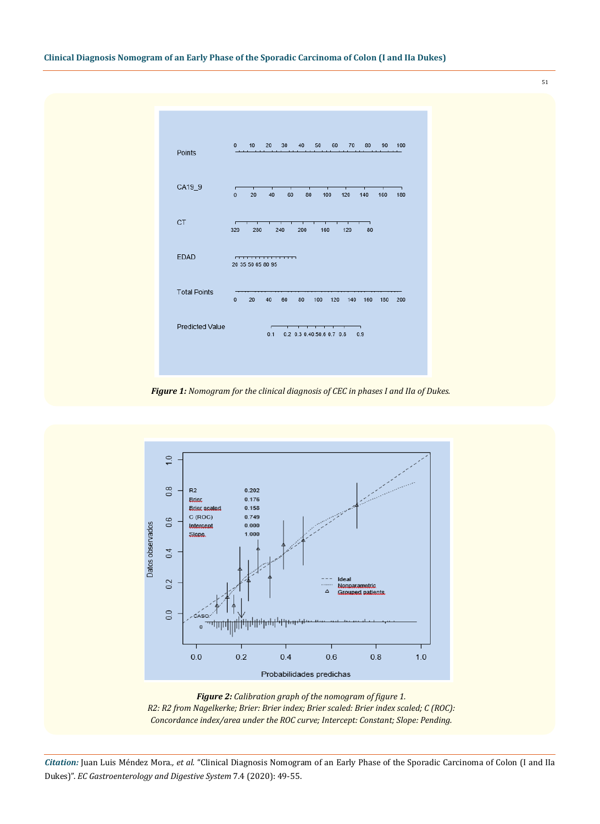

*Figure 1: Nomogram for the clinical diagnosis of CEC in phases I and IIa of Dukes.* 



*Figure 2: Calibration graph of the nomogram of figure 1. R2: R2 from Nagelkerke; Brier: Brier index; Brier scaled: Brier index scaled; C (ROC): Concordance index/area under the ROC curve; Intercept: Constant; Slope: Pending.*

*Citation:* Juan Luis Méndez Mora*., et al.* "Clinical Diagnosis Nomogram of an Early Phase of the Sporadic Carcinoma of Colon (I and IIa Dukes)". *EC Gastroenterology and Digestive System* 7.4 (2020): 49-55.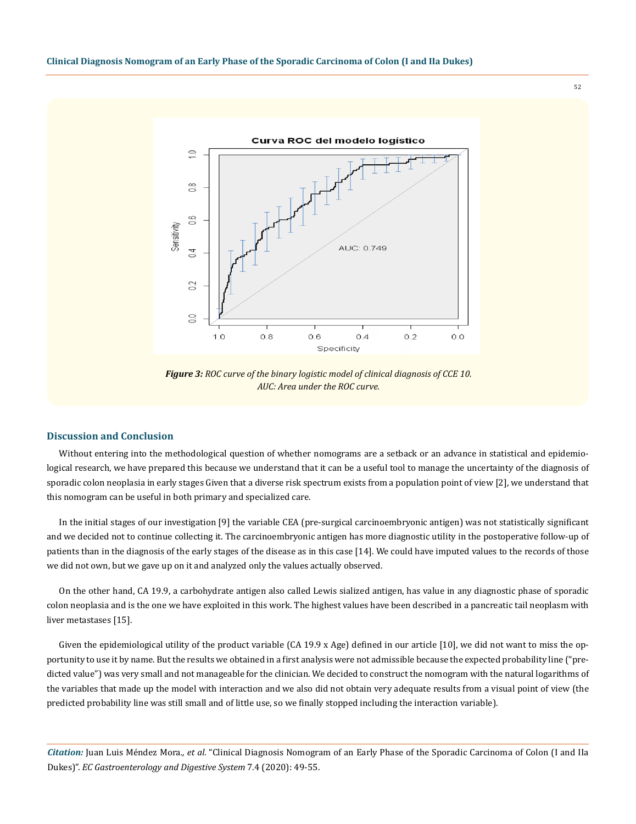Curva ROC del modelo logístico  $\supseteq$  $\frac{\infty}{\infty}$  $66$ Sensitivity AUC: 0.749  $\overline{5}$ 02  $\approx$  $1.0$  $0.8$  $0.6$  $0.4$  $0.2$  $0.0$ Specificity

*Figure 3: ROC curve of the binary logistic model of clinical diagnosis of CCE 10. AUC: Area under the ROC curve.*

#### **Discussion and Conclusion**

Without entering into the methodological question of whether nomograms are a setback or an advance in statistical and epidemiological research, we have prepared this because we understand that it can be a useful tool to manage the uncertainty of the diagnosis of sporadic colon neoplasia in early stages Given that a diverse risk spectrum exists from a population point of view [2], we understand that this nomogram can be useful in both primary and specialized care.

In the initial stages of our investigation [9] the variable CEA (pre-surgical carcinoembryonic antigen) was not statistically significant and we decided not to continue collecting it. The carcinoembryonic antigen has more diagnostic utility in the postoperative follow-up of patients than in the diagnosis of the early stages of the disease as in this case [14]. We could have imputed values to the records of those we did not own, but we gave up on it and analyzed only the values actually observed.

On the other hand, CA 19.9, a carbohydrate antigen also called Lewis sialized antigen, has value in any diagnostic phase of sporadic colon neoplasia and is the one we have exploited in this work. The highest values have been described in a pancreatic tail neoplasm with liver metastases [15].

Given the epidemiological utility of the product variable (CA 19.9 x Age) defined in our article [10], we did not want to miss the opportunity to use it by name. But the results we obtained in a first analysis were not admissible because the expected probability line ("predicted value") was very small and not manageable for the clinician. We decided to construct the nomogram with the natural logarithms of the variables that made up the model with interaction and we also did not obtain very adequate results from a visual point of view (the predicted probability line was still small and of little use, so we finally stopped including the interaction variable).

*Citation:* Juan Luis Méndez Mora*., et al.* "Clinical Diagnosis Nomogram of an Early Phase of the Sporadic Carcinoma of Colon (I and IIa Dukes)". *EC Gastroenterology and Digestive System* 7.4 (2020): 49-55.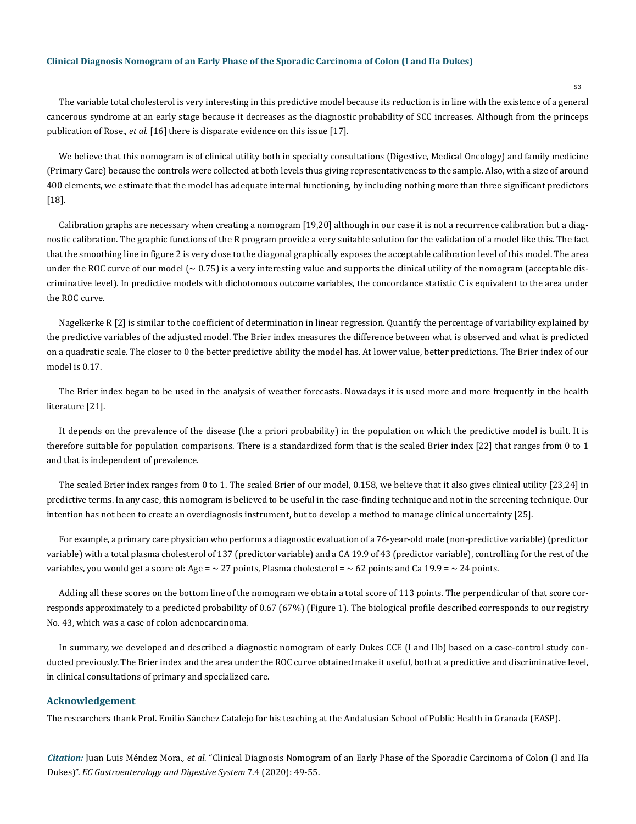The variable total cholesterol is very interesting in this predictive model because its reduction is in line with the existence of a general cancerous syndrome at an early stage because it decreases as the diagnostic probability of SCC increases. Although from the princeps publication of Rose., *et al.* [16] there is disparate evidence on this issue [17].

We believe that this nomogram is of clinical utility both in specialty consultations (Digestive, Medical Oncology) and family medicine (Primary Care) because the controls were collected at both levels thus giving representativeness to the sample. Also, with a size of around 400 elements, we estimate that the model has adequate internal functioning, by including nothing more than three significant predictors [18].

Calibration graphs are necessary when creating a nomogram [19,20] although in our case it is not a recurrence calibration but a diagnostic calibration. The graphic functions of the R program provide a very suitable solution for the validation of a model like this. The fact that the smoothing line in figure 2 is very close to the diagonal graphically exposes the acceptable calibration level of this model. The area under the ROC curve of our model  $\sim 0.75$ ) is a very interesting value and supports the clinical utility of the nomogram (acceptable discriminative level). In predictive models with dichotomous outcome variables, the concordance statistic C is equivalent to the area under the ROC curve.

Nagelkerke R [2] is similar to the coefficient of determination in linear regression. Quantify the percentage of variability explained by the predictive variables of the adjusted model. The Brier index measures the difference between what is observed and what is predicted on a quadratic scale. The closer to 0 the better predictive ability the model has. At lower value, better predictions. The Brier index of our model is 0.17.

The Brier index began to be used in the analysis of weather forecasts. Nowadays it is used more and more frequently in the health literature [21].

It depends on the prevalence of the disease (the a priori probability) in the population on which the predictive model is built. It is therefore suitable for population comparisons. There is a standardized form that is the scaled Brier index [22] that ranges from 0 to 1 and that is independent of prevalence.

The scaled Brier index ranges from 0 to 1. The scaled Brier of our model, 0.158, we believe that it also gives clinical utility [23,24] in predictive terms. In any case, this nomogram is believed to be useful in the case-finding technique and not in the screening technique. Our intention has not been to create an overdiagnosis instrument, but to develop a method to manage clinical uncertainty [25].

For example, a primary care physician who performs a diagnostic evaluation of a 76-year-old male (non-predictive variable) (predictor variable) with a total plasma cholesterol of 137 (predictor variable) and a CA 19.9 of 43 (predictor variable), controlling for the rest of the variables, you would get a score of: Age =  $\sim$  27 points, Plasma cholesterol =  $\sim$  62 points and Ca 19.9 =  $\sim$  24 points.

Adding all these scores on the bottom line of the nomogram we obtain a total score of 113 points. The perpendicular of that score corresponds approximately to a predicted probability of 0.67 (67%) (Figure 1). The biological profile described corresponds to our registry No. 43, which was a case of colon adenocarcinoma.

In summary, we developed and described a diagnostic nomogram of early Dukes CCE (I and IIb) based on a case-control study conducted previously. The Brier index and the area under the ROC curve obtained make it useful, both at a predictive and discriminative level, in clinical consultations of primary and specialized care.

#### **Acknowledgement**

The researchers thank Prof. Emilio Sánchez Catalejo for his teaching at the Andalusian School of Public Health in Granada (EASP).

*Citation:* Juan Luis Méndez Mora*., et al.* "Clinical Diagnosis Nomogram of an Early Phase of the Sporadic Carcinoma of Colon (I and IIa Dukes)". *EC Gastroenterology and Digestive System* 7.4 (2020): 49-55.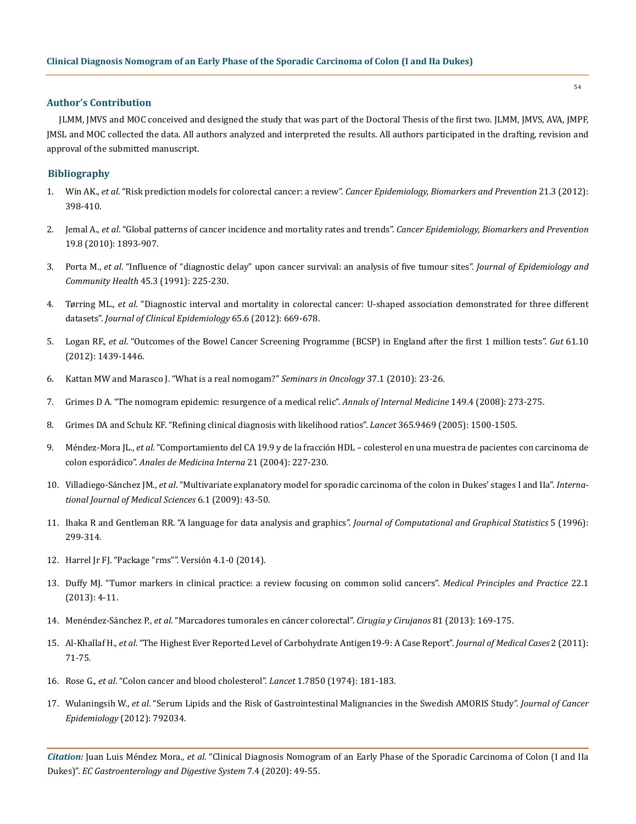## **Author's Contribution**

JLMM, JMVS and MOC conceived and designed the study that was part of the Doctoral Thesis of the first two. JLMM, JMVS, AVA, JMPF, JMSL and MOC collected the data. All authors analyzed and interpreted the results. All authors participated in the drafting, revision and approval of the submitted manuscript.

#### **Bibliography**

- 1. Win AK., *et al*. "Risk prediction models for colorectal cancer: a review". *[Cancer Epidemiology, Biomarkers and Prevention](https://www.ncbi.nlm.nih.gov/pubmed/22169185)* 21.3 (2012): [398-410.](https://www.ncbi.nlm.nih.gov/pubmed/22169185)
- 2. Jemal A., *et al*[. "Global patterns of cancer incidence and mortality rates and trends".](https://www.ncbi.nlm.nih.gov/pubmed/20647400) *Cancer Epidemiology, Biomarkers and Prevention* [19.8 \(2010\): 1893-907.](https://www.ncbi.nlm.nih.gov/pubmed/20647400)
- 3. Porta M., *et al*[. "Influence of "diagnostic delay" upon cancer survival: an analysis of five tumour sites".](https://www.ncbi.nlm.nih.gov/pmc/articles/PMC1060763/) *Journal of Epidemiology and [Community Health](https://www.ncbi.nlm.nih.gov/pmc/articles/PMC1060763/)* 45.3 (1991): 225-230.
- 4. Tørring ML., *et al*[. "Diagnostic interval and mortality in colorectal cancer: U-shaped association demonstrated for three different](https://www.ncbi.nlm.nih.gov/pubmed/22459430)  datasets". *[Journal of Clinical Epidemiology](https://www.ncbi.nlm.nih.gov/pubmed/22459430)* 65.6 (2012): 669-678.
- 5. Logan RF., *et al*[. "Outcomes of the Bowel Cancer Screening Programme \(BCSP\) in England after the first 1 million tests".](https://www.ncbi.nlm.nih.gov/pmc/articles/PMC3437782/) *Gut* 61.10 [\(2012\): 1439-1446.](https://www.ncbi.nlm.nih.gov/pmc/articles/PMC3437782/)
- 6. [Kattan MW and Marasco J. "What is a real nomogam?"](https://www.ncbi.nlm.nih.gov/pubmed/20172360) *Seminars in Oncology* 37.1 (2010): 23-26.
- 7. [Grimes D A. "The nomogram epidemic: resurgence of a medical relic".](https://www.ncbi.nlm.nih.gov/pubmed/18711159) *Annals of Internal Medicine* 149.4 (2008): 273-275.
- 8. [Grimes DA and Schulz KF. "Refining clinical diagnosis with likelihood ratios".](https://www.ncbi.nlm.nih.gov/pubmed/15850636) *Lancet* 365.9469 (2005): 1500-1505.
- 9. Méndez-Mora JL., *et al*[. "Comportamiento del CA 19.9 y de la fracción HDL colesterol en una muestra de pacientes con carcinoma de](http://scielo.isciii.es/scielo.php?script=sci_arttext&pid=S0212-71992004000500005) colon esporádico". *[Anales de Medicina Interna](http://scielo.isciii.es/scielo.php?script=sci_arttext&pid=S0212-71992004000500005)* 21 (2004): 227-230.
- 10. Villadiego-Sánchez JM., *et al*[. "Multivariate explanatory model for sporadic carcinoma of the colon in Dukes' stages I and IIa".](https://www.ncbi.nlm.nih.gov/pmc/articles/PMC2640476/) *Interna[tional Journal of Medical Sciences](https://www.ncbi.nlm.nih.gov/pmc/articles/PMC2640476/)* 6.1 (2009): 43-50.
- 11. [Ihaka R and Gentleman RR. "A language for data analysis and graphics".](http://biostat.mc.vanderbilt.edu/wiki/pub/Main/JeffreyHorner/JCGSR.pdf) *Journal of Computational and Graphical Statistics* 5 (1996): [299-314.](http://biostat.mc.vanderbilt.edu/wiki/pub/Main/JeffreyHorner/JCGSR.pdf)
- 12. [Harrel Jr FJ. "Package "rms"". Versión 4.1-0 \(2014\).](http://cran.r-project.org/web/packages/rms/rms.pdf)
- 13. [Duffy MJ. "Tumor markers in clinical practice: a review focusing on common solid cancers".](https://www.ncbi.nlm.nih.gov/pubmed/22584792) *Medical Principles and Practice* 22.1 [\(2013\): 4-11.](https://www.ncbi.nlm.nih.gov/pubmed/22584792)
- 14. Menéndez-Sánchez P., *et al*[. "Marcadores tumorales en cáncer colorectal".](https://www.medigraphic.com/pdfs/circir/cc-2013/cc132p.pdf) *Cirugia y Cirujanos* 81 (2013): 169-175.
- 15. Al-Khallaf H., *et al*[. "The Highest Ever Reported Level of Carbohydrate Antigen19-9: A Case Report".](https://www.researchgate.net/publication/273926667_The_Highest_Ever_Reported_Level_of_Carbohydrate_Antigen_19-9_A_Case_Report) *Journal of Medical Cases* 2 (2011): [71-75.](https://www.researchgate.net/publication/273926667_The_Highest_Ever_Reported_Level_of_Carbohydrate_Antigen_19-9_A_Case_Report)
- 16. Rose G., *et al*[. "Colon cancer and blood cholesterol".](https://www.ncbi.nlm.nih.gov/pubmed/4129874) *Lancet* 1.7850 (1974): 181-183.
- 17. Wulaningsih W., *et al*[. "Serum Lipids and the Risk of Gastrointestinal Malignancies in the Swedish AMORIS Study".](https://www.ncbi.nlm.nih.gov/pubmed/22969802) *Journal of Cancer Epidemiology* [\(2012\): 792034.](https://www.ncbi.nlm.nih.gov/pubmed/22969802)

*Citation:* Juan Luis Méndez Mora*., et al.* "Clinical Diagnosis Nomogram of an Early Phase of the Sporadic Carcinoma of Colon (I and IIa Dukes)". *EC Gastroenterology and Digestive System* 7.4 (2020): 49-55.